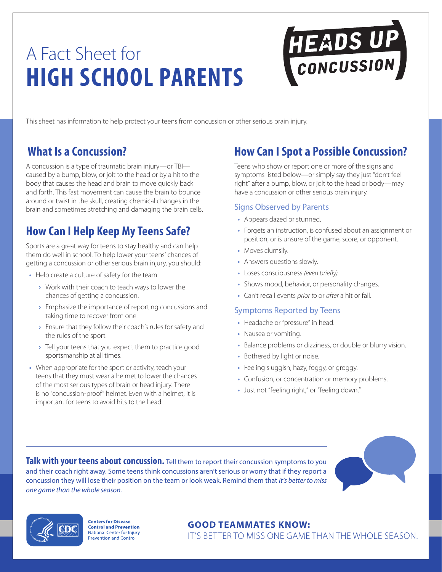# A Fact Sheet for **HIGH SCHOOL PARENTS**

This sheet has information to help protect your teens from concussion or other serious brain injury.

#### **What Is a Concussion?**

A concussion is a type of traumatic brain injury—or TBI caused by a bump, blow, or jolt to the head or by a hit to the body that causes the head and brain to move quickly back and forth. This fast movement can cause the brain to bounce around or twist in the skull, creating chemical changes in the brain and sometimes stretching and damaging the brain cells.

## **How Can I Help Keep My Teens Safe?**

Sports are a great way for teens to stay healthy and can help them do well in school. To help lower your teens' chances of getting a concussion or other serious brain injury, you should:

- Help create a culture of safety for the team.
	- **›** Work with their coach to teach ways to lower the chances of getting a concussion.
	- **›**  Emphasize the importance of reporting concussions and taking time to recover from one.
	- **›**  Ensure that they follow their coach's rules for safety and the rules of the sport.
	- **›**  Tell your teens that you expect them to practice good sportsmanship at all times.
- When appropriate for the sport or activity, teach your teens that they must wear a helmet to lower the chances of the most serious types of brain or head injury. There is no "concussion-proof" helmet. Even with a helmet, it is important for teens to avoid hits to the head.

## **How Can I Spot a Possible Concussion?**

HEADS UP

Teens who show or report one or more of the signs and symptoms listed below—or simply say they just "don't feel right" after a bump, blow, or jolt to the head or body—may have a concussion or other serious brain injury.

#### Signs Observed by Parents

- Appears dazed or stunned.
- Forgets an instruction, is confused about an assignment or position, or is unsure of the game, score, or opponent.
- Moves clumsily.
- Answers questions slowly.
- Loses consciousness *(even briefly)*.
- Shows mood, behavior, or personality changes.
- Can't recall events *prior to* or *after* a hit or fall.

#### Symptoms Reported by Teens

- Headache or "pressure" in head.
- Nausea or vomiting.
- Balance problems or dizziness, or double or blurry vision.
- Bothered by light or noise.
- Feeling sluggish, hazy, foggy, or groggy.
- Confusion, or concentration or memory problems.
- Just not "feeling right," or "feeling down."

**Talk with your teens about concussion.** Tell them to report their concussion symptoms to you and their coach right away. Some teens think concussions aren't serious or worry that if they report a concussion they will lose their position on the team or look weak. Remind them that *it's better to miss one game than the whole season.*





**Centers for Disease Control and Prevention** National Center for Injury **Prevention and Control** 

#### **GOOD TEAMMATES KNOW:**

IT'S BETTER TO MISS ONE GAME THAN THE WHOLE SEASON.